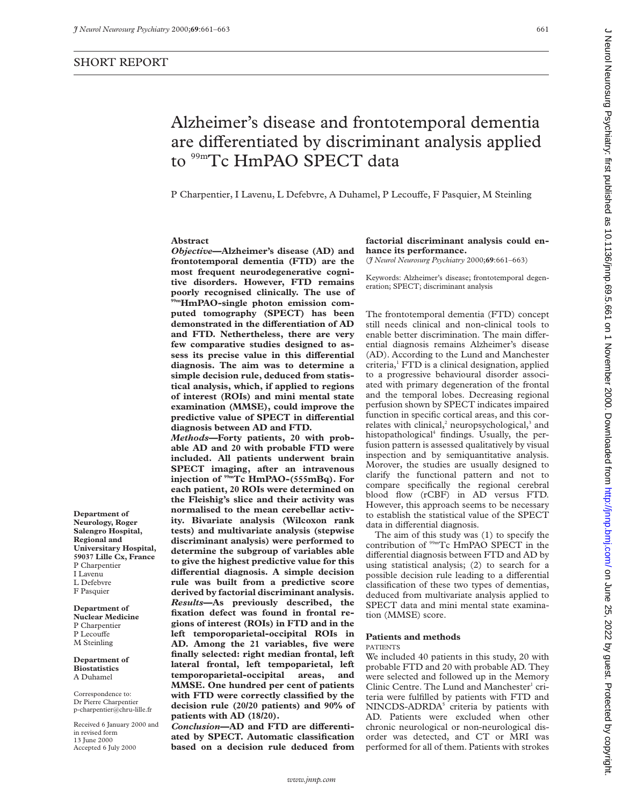**Department of Neurology, Roger Salengro Hospital, Regional and**

**Department of Nuclear Medicine** P Charpentier P Lecouffe M Steinling **Department of Biostatistics** A Duhamel Correspondence to: Dr Pierre Charpentier p-charpentier@chru-lille.fr Received 6 January 2000 and

in revised form 13 June 2000 Accepted 6 July 2000

**Universitary Hospital, 59037 Lille Cx, France** P Charpentier I Lavenu L Defebvre F Pasquier

# Alzheimer's disease and frontotemporal dementia are differentiated by discriminant analysis applied to <sup>99m</sup>Tc HmPAO SPECT data

P Charpentier, I Lavenu, L Defebvre, A Duhamel, P Lecouffe, F Pasquier, M Steinling

## **Abstract**

*Objective***—Alzheimer's disease (AD) and frontotemporal dementia (FTD) are the most frequent neurodegenerative cognitive disorders. However, FTD remains poorly recognised clinically. The use of 99mHmPAO-single photon emission computed tomography (SPECT) has been demonstrated in the diVerentiation of AD and FTD. Nethertheless, there are very few comparative studies designed to as**sess its precise value in this differential **diagnosis. The aim was to determine a simple decision rule, deduced from statistical analysis, which, if applied to regions of interest (ROIs) and mini mental state examination (MMSE), could improve the** predictive value of SPECT in differential **diagnosis between AD and FTD.**

*Methods***—Forty patients, 20 with probable AD and 20 with probable FTD were included. All patients underwent brain SPECT imaging, after an intravenous injection of 99mTc HmPAO-(555mBq). For each patient, 20 ROIs were determined on the Fleishig's slice and their activity was normalised to the mean cerebellar activity. Bivariate analysis (Wilcoxon rank tests) and multivariate analysis (stepwise discriminant analysis) were performed to determine the subgroup of variables able to give the highest predictive value for this diVerential diagnosis. A simple decision rule was built from a predictive score derived by factorial discriminant analysis.** *Results***—As previously described, the fixation defect was found in frontal regions of interest (ROIs) in FTD and in the left temporoparietal-occipital ROIs in AD. Among the 21 variables, five were finally selected: right median frontal, left lateral frontal, left tempoparietal, left temporoparietal-occipital areas, and MMSE. One hundred per cent of patients with FTD were correctly classified by the decision rule (20/20 patients) and 90% of patients with AD (18/20).**

Conclusion-AD and FTD are differenti**ated by SPECT. Automatic classification based on a decision rule deduced from**

## **factorial discriminant analysis could enhance its performance.**

(*J Neurol Neurosurg Psychiatry* 2000;**69**:661–663)

Keywords: Alzheimer's disease; frontotemporal degeneration; SPECT; discriminant analysis

The frontotemporal dementia (FTD) concept still needs clinical and non-clinical tools to enable better discrimination. The main differential diagnosis remains Alzheimer's disease (AD). According to the Lund and Manchester criteria,<sup>1</sup> FTD is a clinical designation, applied to a progressive behavioural disorder associated with primary degeneration of the frontal and the temporal lobes. Decreasing regional perfusion shown by SPECT indicates impaired function in specific cortical areas, and this correlates with clinical, $^2$  neuropsychological, $^3$  and histopathological<sup>4</sup> findings. Usually, the perfusion pattern is assessed qualitatively by visual inspection and by semiquantitative analysis. Morover, the studies are usually designed to clarify the functional pattern and not to compare specifically the regional cerebral blood flow (rCBF) in AD versus FTD. However, this approach seems to be necessary to establish the statistical value of the SPECT data in differential diagnosis.

The aim of this study was (1) to specify the contribution of 99mTc HmPAO SPECT in the differential diagnosis between FTD and AD by using statistical analysis; (2) to search for a possible decision rule leading to a differential classification of these two types of dementias, deduced from multivariate analysis applied to SPECT data and mini mental state examination (MMSE) score.

## **Patients and methods**

## PATIENTS

We included 40 patients in this study, 20 with probable FTD and 20 with probable AD. They were selected and followed up in the Memory Clinic Centre. The Lund and Manchester<sup>1</sup> criteria were fulfilled by patients with FTD and NINCDS-ADRDA<sup>5</sup> criteria by patients with AD. Patients were excluded when other chronic neurological or non-neurological disorder was detected, and CT or MRI was performed for all of them. Patients with strokes

J Neurol Neurosurg Psychiatry: first published as 10.11136/jnnp.69.5.661 on 11 November 2000. Downloaded from http://jnnp.bmj.com/ on June 25, 2022 by guest. Protected by copyright Deuro 2022 by guest. Protected by copyright. Hocker 2001 on 1 November 2000. Downloaded from http://jnnp.bunj.com/ Dn June 25, 2022 on University: first published as 10.1136/jnnp.69.5.662

*www.jnnp.com*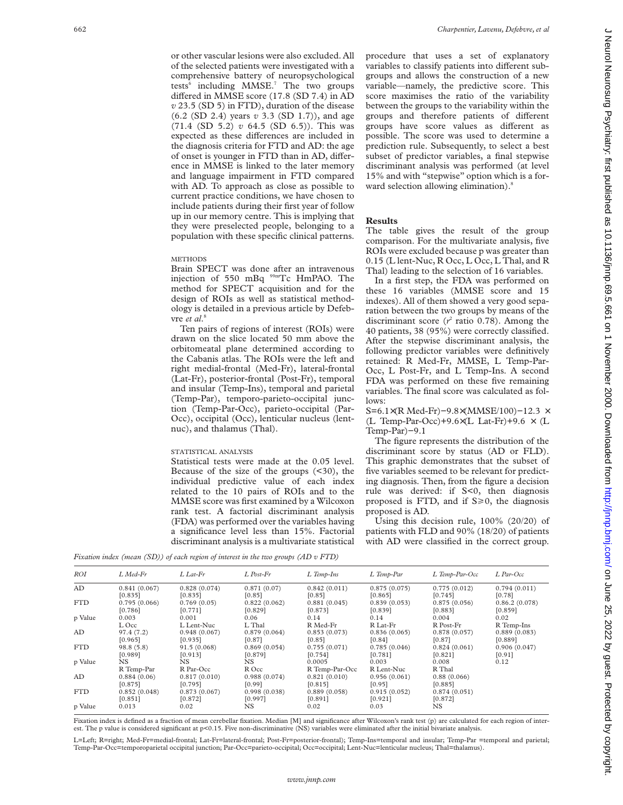or other vascular lesions were also excluded. All of the selected patients were investigated with a comprehensive battery of neuropsychological tests<sup>6</sup> including MMSE.<sup>7</sup> The two groups differed in MMSE score (17.8 (SD 7.4) in AD *v* 23.5 (SD 5) in FTD), duration of the disease (6.2 (SD 2.4) years *v* 3.3 (SD 1.7)), and age (71.4 (SD 5.2) *v* 64.5 (SD 6.5)). This was expected as these differences are included in the diagnosis criteria for FTD and AD: the age of onset is younger in FTD than in AD, difference in MMSE is linked to the later memory and language impairment in FTD compared with AD. To approach as close as possible to current practice conditions, we have chosen to include patients during their first year of follow up in our memory centre. This is implying that they were preselected people, belonging to a population with these specific clinical patterns.

#### **METHODS**

Brain SPECT was done after an intravenous injection of 550 mBq 99mTc HmPAO. The method for SPECT acquisition and for the design of ROIs as well as statistical methodology is detailed in a previous article by Defebvre *et al*. 8

Ten pairs of regions of interest (ROIs) were drawn on the slice located 50 mm above the orbitomeatal plane determined according to the Cabanis atlas. The ROIs were the left and right medial-frontal (Med-Fr), lateral-frontal (Lat-Fr), posterior-frontal (Post-Fr), temporal and insular (Temp-Ins), temporal and parietal (Temp-Par), temporo-parieto-occipital junction (Temp-Par-Occ), parieto-occipital (Par-Occ), occipital (Occ), lenticular nucleus (lentnuc), and thalamus (Thal).

#### STATISTICAL ANALYSIS

Statistical tests were made at the 0.05 level. Because of the size of the groups  $($ <30), the individual predictive value of each index related to the 10 pairs of ROIs and to the MMSE score was first examined by a Wilcoxon rank test. A factorial discriminant analysis (FDA) was performed over the variables having a significance level less than 15%. Factorial discriminant analysis is a multivariate statistical

procedure that uses a set of explanatory variables to classify patients into different subgroups and allows the construction of a new variable—namely, the predictive score. This score maximises the ratio of the variability between the groups to the variability within the groups and therefore patients of different groups have score values as different as possible. The score was used to determine a prediction rule. Subsequently, to select a best subset of predictor variables, a final stepwise discriminant analysis was performed (at level 15% and with "stepwise" option which is a forward selection allowing elimination).<sup>8</sup>

### **Results**

The table gives the result of the group comparison. For the multivariate analysis, five ROIs were excluded because p was greater than 0.15 (L lent-Nuc, R Occ, L Occ, L Thal, and R Thal) leading to the selection of 16 variables.

In a first step, the FDA was performed on these 16 variables (MMSE score and 15 indexes). All of them showed a very good separation between the two groups by means of the discriminant score  $(r^2 \text{ ratio } 0.78)$ . Among the 40 patients, 38 (95%) were correctly classified. After the stepwise discriminant analysis, the following predictor variables were definitively retained: R Med-Fr, MMSE, L Temp-Par-Occ, L Post-Fr, and L Temp-Ins. A second FDA was performed on these five remaining variables. The final score was calculated as follows:

S=6.1×(R Med-Fr)−9.8×(MMSE/100)−12.3 × (L Temp-Par-Occ)+9.6 $\times$ (L Lat-Fr)+9.6  $\times$  (L Temp-Par)−9.1

The figure represents the distribution of the discriminant score by status (AD or FLD). This graphic demonstrates that the subset of five variables seemed to be relevant for predicting diagnosis. Then, from the figure a decision rule was derived: if S<0, then diagnosis proposed is FTD, and if  $S \ge 0$ , the diagnosis proposed is AD.

Using this decision rule, 100% (20/20) of patients with FLD and 90% (18/20) of patients with AD were classified in the correct group.

*Fixation index (mean (SD)) of each region of interest in the two groups (AD v FTD)*

| ROI        | L Med-Fr     | $L$ Lat- $Fr$ | $L$ Post-Fr  | $L$ Temp-Ins   | L Temp-Par   | L Temp-Par-Occ | $L$ Par-Occ   |
|------------|--------------|---------------|--------------|----------------|--------------|----------------|---------------|
| AD         | 0.841(0.067) | 0.828(0.074)  | 0.871(0.07)  | 0.842(0.011)   | 0.875(0.075) | 0.775(0.012)   | 0.794(0.011)  |
|            | [0.835]      | [0.835]       | [0.85]       | [0.85]         | [0.865]      | [0.745]        | $[0.78]$      |
| <b>FTD</b> | 0.795(0.066) | 0.769(0.05)   | 0.822(0.062) | 0.881(0.045)   | 0.839(0.053) | 0.875(0.056)   | 0.86.2(0.078) |
|            | [0.786]      | [0.771]       | [0.829]      | [0.873]        | [0.839]      | [0.883]        | [0.859]       |
| p Value    | 0.003        | 0.001         | 0.06         | 0.14           | 0.14         | 0.004          | 0.02          |
|            | L Occ        | L Lent-Nuc    | L Thal       | R Med-Fr       | R Lat-Fr     | R Post-Fr      | R Temp-Ins    |
| AD         | 97.4 (7.2)   | 0.948(0.067)  | 0.879(0.064) | 0.853(0.073)   | 0.836(0.065) | 0.878(0.057)   | 0.889(0.083)  |
|            | [0.965]      | [0.935]       | [0.87]       | [0.85]         | [0.84]       | [0.87]         | [0.889]       |
| <b>FTD</b> | 98.8(5.8)    | 91.5(0.068)   | 0.869(0.054) | 0.755(0.071)   | 0.785(0.046) | 0.824(0.061)   | 0.906(0.047)  |
|            | [0.989]      | [0.913]       | [0.879]      | [0.754]        | [0.781]      | [0.821]        | [0.91]        |
| p Value    | NS.          | NS.           | NS.          | 0.0005         | 0.003        | 0.008          | 0.12          |
|            | R Temp-Par   | R Par-Occ     | R Occ        | R Temp-Par-Occ | R Lent-Nuc   | R Thal         |               |
| AD         | 0.884(0.06)  | 0.817(0.010)  | 0.988(0.074) | 0.821(0.010)   | 0.956(0.061) | 0.88(0.066)    |               |
|            | [0.875]      | [0.795]       | [0.99]       | [0.815]        | [0.95]       | [0.885]        |               |
| <b>FTD</b> | 0.852(0.048) | 0.873(0.067)  | 0.998(0.038) | 0.889(0.058)   | 0.915(0.052) | 0.874(0.051)   |               |
|            | [0.851]      | [0.872]       | [0.997]      | [0.891]        | [0.921]      | [0.872]        |               |
| p Value    | 0.013        | 0.02          | NS.          | 0.02           | 0.03         | NS.            |               |

Fixation index is defined as a fraction of mean cerebellar fixation. Median [M] and significance after Wilcoxon's rank test (p) are calculated for each region of interest. The p value is considered significant at p<0.15. Five non-discriminative (NS) variables were eliminated after the initial bivariate analysis.

L=Left; R=right; Med-Fr=medial-frontal; Lat-Fr=lateral-frontal; Post-Fr=posterior-frontal); Temp-Ins=temporal and insular; Temp-Par =temporal and parietal; Temp-Par-Occ=temporoparietal occipital junction; Par-Occ=parieto-occipital; Occ=occipital; Lent-Nuc=lenticular nucleus; Thal=thalamus).